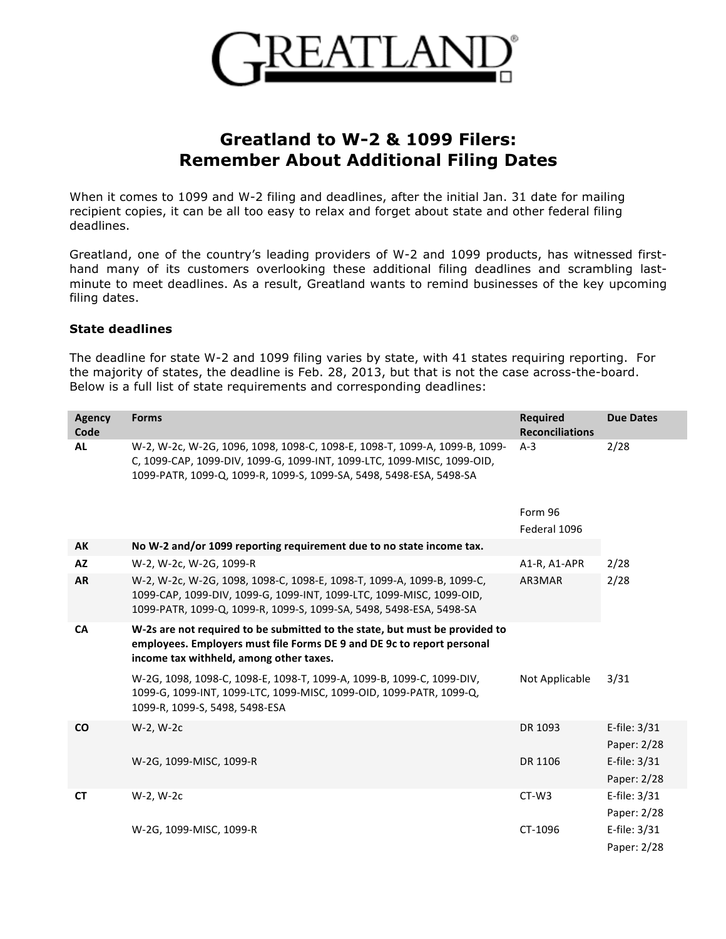

## **Greatland to W-2 & 1099 Filers: Remember About Additional Filing Dates**

When it comes to 1099 and W-2 filing and deadlines, after the initial Jan. 31 date for mailing recipient copies, it can be all too easy to relax and forget about state and other federal filing deadlines.

Greatland, one of the country's leading providers of W-2 and 1099 products, has witnessed firsthand many of its customers overlooking these additional filing deadlines and scrambling lastminute to meet deadlines. As a result, Greatland wants to remind businesses of the key upcoming filing dates.

## **State deadlines**

The deadline for state W-2 and 1099 filing varies by state, with 41 states requiring reporting. For the majority of states, the deadline is Feb. 28, 2013, but that is not the case across-the-board. Below is a full list of state requirements and corresponding deadlines:

| <b>Agency</b><br>Code | <b>Forms</b>                                                                                                                                                                                                                 | <b>Required</b><br><b>Reconciliations</b> | <b>Due Dates</b>            |
|-----------------------|------------------------------------------------------------------------------------------------------------------------------------------------------------------------------------------------------------------------------|-------------------------------------------|-----------------------------|
| <b>AL</b>             | W-2, W-2c, W-2G, 1096, 1098, 1098-C, 1098-E, 1098-T, 1099-A, 1099-B, 1099-<br>C, 1099-CAP, 1099-DIV, 1099-G, 1099-INT, 1099-LTC, 1099-MISC, 1099-OID,<br>1099-PATR, 1099-Q, 1099-R, 1099-S, 1099-SA, 5498, 5498-ESA, 5498-SA | $A-3$                                     | 2/28                        |
|                       |                                                                                                                                                                                                                              | Form 96<br>Federal 1096                   |                             |
| AK                    | No W-2 and/or 1099 reporting requirement due to no state income tax.                                                                                                                                                         |                                           |                             |
| <b>AZ</b>             | W-2, W-2c, W-2G, 1099-R                                                                                                                                                                                                      | A1-R, A1-APR                              | 2/28                        |
| <b>AR</b>             | W-2, W-2c, W-2G, 1098, 1098-C, 1098-E, 1098-T, 1099-A, 1099-B, 1099-C,<br>1099-CAP, 1099-DIV, 1099-G, 1099-INT, 1099-LTC, 1099-MISC, 1099-OID,<br>1099-PATR, 1099-Q, 1099-R, 1099-S, 1099-SA, 5498, 5498-ESA, 5498-SA        | AR3MAR                                    | 2/28                        |
| <b>CA</b>             | W-2s are not required to be submitted to the state, but must be provided to<br>employees. Employers must file Forms DE 9 and DE 9c to report personal<br>income tax withheld, among other taxes.                             |                                           |                             |
|                       | W-2G, 1098, 1098-C, 1098-E, 1098-T, 1099-A, 1099-B, 1099-C, 1099-DIV,<br>1099-G, 1099-INT, 1099-LTC, 1099-MISC, 1099-OID, 1099-PATR, 1099-Q,<br>1099-R, 1099-S, 5498, 5498-ESA                                               | Not Applicable                            | 3/31                        |
| <b>CO</b>             | W-2, W-2c                                                                                                                                                                                                                    | DR 1093                                   | E-file: 3/31<br>Paper: 2/28 |
|                       | W-2G, 1099-MISC, 1099-R                                                                                                                                                                                                      | DR 1106                                   | E-file: 3/31<br>Paper: 2/28 |
| <b>CT</b>             | W-2, W-2c                                                                                                                                                                                                                    | $CT-W3$                                   | E-file: 3/31<br>Paper: 2/28 |
|                       | W-2G, 1099-MISC, 1099-R                                                                                                                                                                                                      | CT-1096                                   | E-file: 3/31<br>Paper: 2/28 |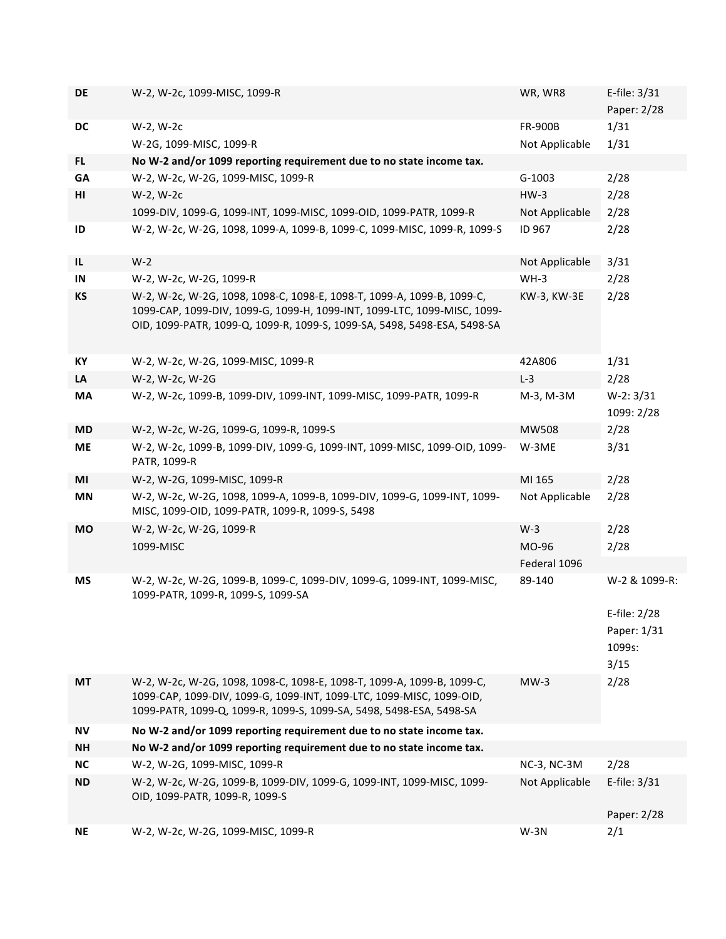| DE        | W-2, W-2c, 1099-MISC, 1099-R                                                                                                                                                                                          | WR, WR8        | E-file: $3/31$                                |
|-----------|-----------------------------------------------------------------------------------------------------------------------------------------------------------------------------------------------------------------------|----------------|-----------------------------------------------|
|           |                                                                                                                                                                                                                       |                | Paper: 2/28                                   |
| DC        | W-2, W-2c                                                                                                                                                                                                             | <b>FR-900B</b> | 1/31                                          |
|           | W-2G, 1099-MISC, 1099-R                                                                                                                                                                                               | Not Applicable | 1/31                                          |
| FL.       | No W-2 and/or 1099 reporting requirement due to no state income tax.                                                                                                                                                  |                |                                               |
| GA        | W-2, W-2c, W-2G, 1099-MISC, 1099-R                                                                                                                                                                                    | $G-1003$       | 2/28                                          |
| HI        | W-2, W-2c                                                                                                                                                                                                             | $HW-3$         | 2/28                                          |
|           | 1099-DIV, 1099-G, 1099-INT, 1099-MISC, 1099-OID, 1099-PATR, 1099-R                                                                                                                                                    | Not Applicable | 2/28                                          |
| ID        | W-2, W-2c, W-2G, 1098, 1099-A, 1099-B, 1099-C, 1099-MISC, 1099-R, 1099-S                                                                                                                                              | ID 967         | 2/28                                          |
| IL        | $W-2$                                                                                                                                                                                                                 | Not Applicable | 3/31                                          |
| IN        | W-2, W-2c, W-2G, 1099-R                                                                                                                                                                                               | $WH-3$         | 2/28                                          |
| KS        | W-2, W-2c, W-2G, 1098, 1098-C, 1098-E, 1098-T, 1099-A, 1099-B, 1099-C,                                                                                                                                                | KW-3, KW-3E    | 2/28                                          |
|           | 1099-CAP, 1099-DIV, 1099-G, 1099-H, 1099-INT, 1099-LTC, 1099-MISC, 1099-<br>OID, 1099-PATR, 1099-Q, 1099-R, 1099-S, 1099-SA, 5498, 5498-ESA, 5498-SA                                                                  |                |                                               |
| KY        | W-2, W-2c, W-2G, 1099-MISC, 1099-R                                                                                                                                                                                    | 42A806         | 1/31                                          |
| LA        | W-2, W-2c, W-2G                                                                                                                                                                                                       | $L-3$          | 2/28                                          |
| MA        | W-2, W-2c, 1099-B, 1099-DIV, 1099-INT, 1099-MISC, 1099-PATR, 1099-R                                                                                                                                                   | M-3, M-3M      | $W-2: 3/31$                                   |
|           |                                                                                                                                                                                                                       |                | 1099: 2/28                                    |
| <b>MD</b> | W-2, W-2c, W-2G, 1099-G, 1099-R, 1099-S                                                                                                                                                                               | <b>MW508</b>   | 2/28                                          |
| <b>ME</b> | W-2, W-2c, 1099-B, 1099-DIV, 1099-G, 1099-INT, 1099-MISC, 1099-OID, 1099-<br>PATR, 1099-R                                                                                                                             | W-3ME          | 3/31                                          |
| MI        | W-2, W-2G, 1099-MISC, 1099-R                                                                                                                                                                                          | MI 165         | 2/28                                          |
| <b>MN</b> | W-2, W-2c, W-2G, 1098, 1099-A, 1099-B, 1099-DIV, 1099-G, 1099-INT, 1099-<br>MISC, 1099-OID, 1099-PATR, 1099-R, 1099-S, 5498                                                                                           | Not Applicable | 2/28                                          |
| <b>MO</b> | W-2, W-2c, W-2G, 1099-R                                                                                                                                                                                               | $W-3$          | 2/28                                          |
|           | 1099-MISC                                                                                                                                                                                                             | MO-96          | 2/28                                          |
|           |                                                                                                                                                                                                                       | Federal 1096   |                                               |
| ΜS        | W-2, W-2c, W-2G, 1099-B, 1099-C, 1099-DIV, 1099-G, 1099-INT, 1099-MISC,<br>1099-PATR, 1099-R, 1099-S, 1099-SA                                                                                                         | 89-140         | W-2 & 1099-R:                                 |
|           |                                                                                                                                                                                                                       |                | E-file: 2/28<br>Paper: 1/31<br>1099s:<br>3/15 |
| MT        | W-2, W-2c, W-2G, 1098, 1098-C, 1098-E, 1098-T, 1099-A, 1099-B, 1099-C,<br>1099-CAP, 1099-DIV, 1099-G, 1099-INT, 1099-LTC, 1099-MISC, 1099-OID,<br>1099-PATR, 1099-Q, 1099-R, 1099-S, 1099-SA, 5498, 5498-ESA, 5498-SA | $MW-3$         | 2/28                                          |
| ΝV        | No W-2 and/or 1099 reporting requirement due to no state income tax.                                                                                                                                                  |                |                                               |
| <b>NH</b> | No W-2 and/or 1099 reporting requirement due to no state income tax.                                                                                                                                                  |                |                                               |
| <b>NC</b> | W-2, W-2G, 1099-MISC, 1099-R                                                                                                                                                                                          | NC-3, NC-3M    | 2/28                                          |
| <b>ND</b> | W-2, W-2c, W-2G, 1099-B, 1099-DIV, 1099-G, 1099-INT, 1099-MISC, 1099-                                                                                                                                                 | Not Applicable | E-file: 3/31                                  |
|           | OID, 1099-PATR, 1099-R, 1099-S                                                                                                                                                                                        |                |                                               |
|           |                                                                                                                                                                                                                       |                | Paper: 2/28                                   |
| <b>NE</b> | W-2, W-2c, W-2G, 1099-MISC, 1099-R                                                                                                                                                                                    | $W-3N$         | 2/1                                           |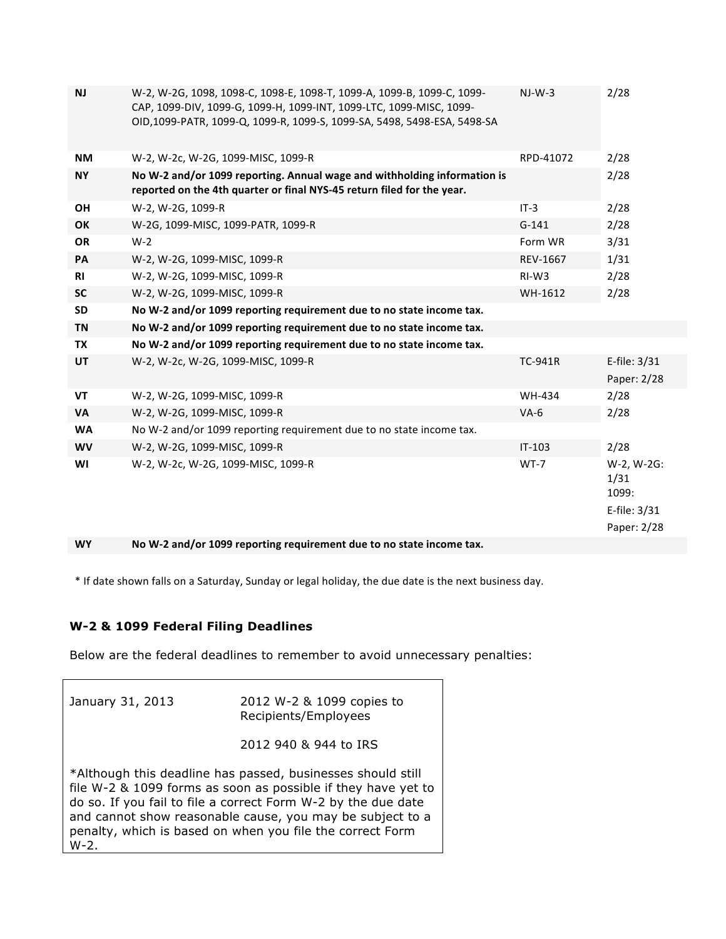| <b>NJ</b> | W-2, W-2G, 1098, 1098-C, 1098-E, 1098-T, 1099-A, 1099-B, 1099-C, 1099-<br>CAP, 1099-DIV, 1099-G, 1099-H, 1099-INT, 1099-LTC, 1099-MISC, 1099-<br>OID, 1099-PATR, 1099-Q, 1099-R, 1099-S, 1099-SA, 5498, 5498-ESA, 5498-SA | $NI-W-3$       | 2/28                                                       |
|-----------|---------------------------------------------------------------------------------------------------------------------------------------------------------------------------------------------------------------------------|----------------|------------------------------------------------------------|
| <b>NM</b> | W-2, W-2c, W-2G, 1099-MISC, 1099-R                                                                                                                                                                                        | RPD-41072      | 2/28                                                       |
| <b>NY</b> | No W-2 and/or 1099 reporting. Annual wage and withholding information is<br>reported on the 4th quarter or final NYS-45 return filed for the year.                                                                        |                | 2/28                                                       |
| <b>OH</b> | W-2, W-2G, 1099-R                                                                                                                                                                                                         | $IT-3$         | 2/28                                                       |
| OK        | W-2G, 1099-MISC, 1099-PATR, 1099-R                                                                                                                                                                                        | $G-141$        | 2/28                                                       |
| <b>OR</b> | $W-2$                                                                                                                                                                                                                     | Form WR        | 3/31                                                       |
| PA        | W-2, W-2G, 1099-MISC, 1099-R                                                                                                                                                                                              | REV-1667       | 1/31                                                       |
| <b>RI</b> | W-2, W-2G, 1099-MISC, 1099-R                                                                                                                                                                                              | $RI-W3$        | 2/28                                                       |
| <b>SC</b> | W-2, W-2G, 1099-MISC, 1099-R                                                                                                                                                                                              | WH-1612        | 2/28                                                       |
| <b>SD</b> | No W-2 and/or 1099 reporting requirement due to no state income tax.                                                                                                                                                      |                |                                                            |
| <b>TN</b> | No W-2 and/or 1099 reporting requirement due to no state income tax.                                                                                                                                                      |                |                                                            |
| TX        | No W-2 and/or 1099 reporting requirement due to no state income tax.                                                                                                                                                      |                |                                                            |
| UT        | W-2, W-2c, W-2G, 1099-MISC, 1099-R                                                                                                                                                                                        | <b>TC-941R</b> | E-file: 3/31<br>Paper: 2/28                                |
| <b>VT</b> | W-2, W-2G, 1099-MISC, 1099-R                                                                                                                                                                                              | <b>WH-434</b>  | 2/28                                                       |
| VA        | W-2, W-2G, 1099-MISC, 1099-R                                                                                                                                                                                              | $VA-6$         | 2/28                                                       |
| <b>WA</b> | No W-2 and/or 1099 reporting requirement due to no state income tax.                                                                                                                                                      |                |                                                            |
| <b>WV</b> | W-2, W-2G, 1099-MISC, 1099-R                                                                                                                                                                                              | $IT-103$       | 2/28                                                       |
| WI        | W-2, W-2c, W-2G, 1099-MISC, 1099-R                                                                                                                                                                                        | $WT-7$         | W-2, W-2G:<br>1/31<br>1099:<br>E-file: 3/31<br>Paper: 2/28 |

WY No W-2 and/or 1099 reporting requirement due to no state income tax.

\* If date shown falls on a Saturday, Sunday or legal holiday, the due date is the next business day.

## **W-2 & 1099 Federal Filing Deadlines**

Below are the federal deadlines to remember to avoid unnecessary penalties:

| January 31, 2013                                                                                                                                                                                                                                                                                                                  | 2012 W-2 & 1099 copies to<br>Recipients/Employees |  |
|-----------------------------------------------------------------------------------------------------------------------------------------------------------------------------------------------------------------------------------------------------------------------------------------------------------------------------------|---------------------------------------------------|--|
|                                                                                                                                                                                                                                                                                                                                   | 2012 940 & 944 to IRS                             |  |
| *Although this deadline has passed, businesses should still<br>file W-2 & 1099 forms as soon as possible if they have yet to<br>do so. If you fail to file a correct Form W-2 by the due date<br>and cannot show reasonable cause, you may be subject to a<br>penalty, which is based on when you file the correct Form<br>$W-2.$ |                                                   |  |